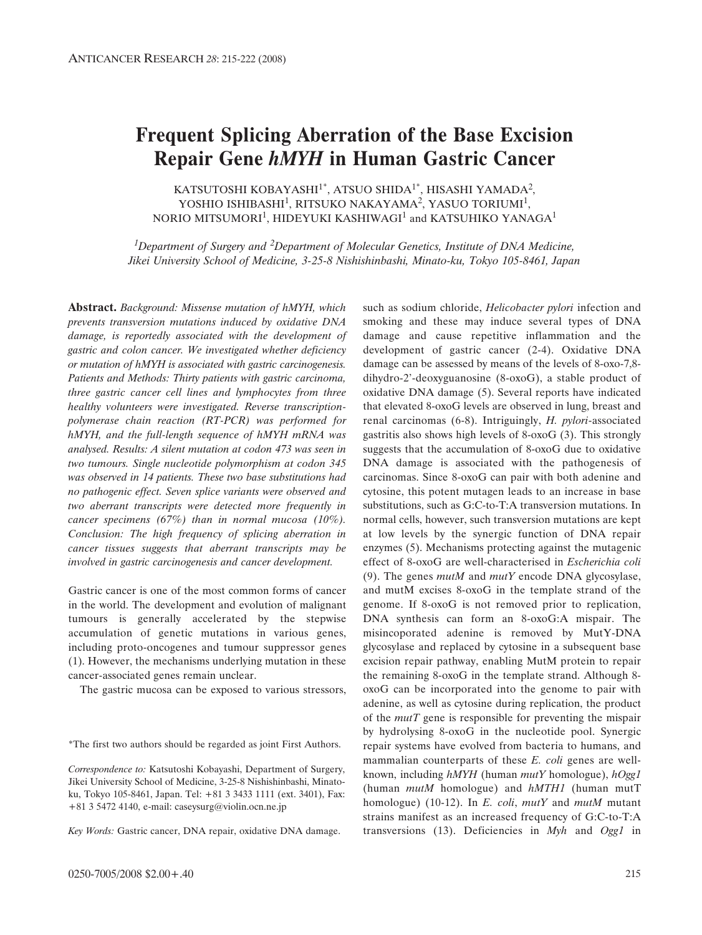# **Frequent Splicing Aberration of the Base Excision Repair Gene** *hMYH* **in Human Gastric Cancer**

KATSUTOSHI KOBAYASHI<sup>1\*</sup>, ATSUO SHIDA<sup>1\*</sup>, HISASHI YAMADA<sup>2</sup>, YOSHIO ISHIBASHI<sup>1</sup>, RITSUKO NAKAYAMA<sup>2</sup>, YASUO TORIUMI<sup>1</sup>, NORIO MITSUMORI<sup>1</sup>, HIDEYUKI KASHIWAGI<sup>1</sup> and KATSUHIKO YANAGA<sup>1</sup>

*1Department of Surgery and 2Department of Molecular Genetics, Institute of DNA Medicine, Jikei University School of Medicine, 3-25-8 Nishishinbashi, Minato-ku, Tokyo 105-8461, Japan* 

**Abstract.** *Background: Missense mutation of hMYH, which prevents transversion mutations induced by oxidative DNA damage, is reportedly associated with the development of gastric and colon cancer. We investigated whether deficiency or mutation of hMYH is associated with gastric carcinogenesis. Patients and Methods: Thirty patients with gastric carcinoma, three gastric cancer cell lines and lymphocytes from three healthy volunteers were investigated. Reverse transcriptionpolymerase chain reaction (RT-PCR) was performed for hMYH, and the full-length sequence of hMYH mRNA was analysed. Results: A silent mutation at codon 473 was seen in two tumours. Single nucleotide polymorphism at codon 345 was observed in 14 patients. These two base substitutions had no pathogenic effect. Seven splice variants were observed and two aberrant transcripts were detected more frequently in cancer specimens (67%) than in normal mucosa (10%). Conclusion: The high frequency of splicing aberration in cancer tissues suggests that aberrant transcripts may be involved in gastric carcinogenesis and cancer development.*

Gastric cancer is one of the most common forms of cancer in the world. The development and evolution of malignant tumours is generally accelerated by the stepwise accumulation of genetic mutations in various genes, including proto-oncogenes and tumour suppressor genes (1). However, the mechanisms underlying mutation in these cancer-associated genes remain unclear.

The gastric mucosa can be exposed to various stressors,

Key Words: Gastric cancer, DNA repair, oxidative DNA damage.

such as sodium chloride, *Helicobacter pylori* infection and smoking and these may induce several types of DNA damage and cause repetitive inflammation and the development of gastric cancer (2-4). Oxidative DNA damage can be assessed by means of the levels of 8-oxo-7,8 dihydro-2'-deoxyguanosine (8-oxoG), a stable product of oxidative DNA damage (5). Several reports have indicated that elevated 8-oxoG levels are observed in lung, breast and renal carcinomas (6-8). Intriguingly, *H. pylori*-associated gastritis also shows high levels of 8-oxoG (3). This strongly suggests that the accumulation of 8-oxoG due to oxidative DNA damage is associated with the pathogenesis of carcinomas. Since 8-oxoG can pair with both adenine and cytosine, this potent mutagen leads to an increase in base substitutions, such as G:C-to-T:A transversion mutations. In normal cells, however, such transversion mutations are kept at low levels by the synergic function of DNA repair enzymes (5). Mechanisms protecting against the mutagenic effect of 8-oxoG are well-characterised in *Escherichia coli* (9). The genes *mutM* and *mutY* encode DNA glycosylase, and mutM excises 8-oxoG in the template strand of the genome. If 8-oxoG is not removed prior to replication, DNA synthesis can form an 8-oxoG:A mispair. The misincoporated adenine is removed by MutY-DNA glycosylase and replaced by cytosine in a subsequent base excision repair pathway, enabling MutM protein to repair the remaining 8-oxoG in the template strand. Although 8 oxoG can be incorporated into the genome to pair with adenine, as well as cytosine during replication, the product of the *mutT* gene is responsible for preventing the mispair by hydrolysing 8-oxoG in the nucleotide pool. Synergic repair systems have evolved from bacteria to humans, and mammalian counterparts of these *E. coli* genes are wellknown, including *hMYH* (human *mutY* homologue), *hOgg1* (human *mutM* homologue) and *hMTH1* (human mutT homologue) (10-12). In *E. coli*, *mutY* and *mutM* mutant strains manifest as an increased frequency of G:C-to-T:A transversions (13). Deficiencies in *Myh* and *Ogg1* in

<sup>\*</sup>The first two authors should be regarded as joint First Authors.

*Correspondence to:* Katsutoshi Kobayashi, Department of Surgery, Jikei University School of Medicine, 3-25-8 Nishishinbashi, Minatoku, Tokyo 105-8461, Japan. Tel: +81 3 3433 1111 (ext. 3401), Fax: +81 3 5472 4140, e-mail: caseysurg@violin.ocn.ne.jp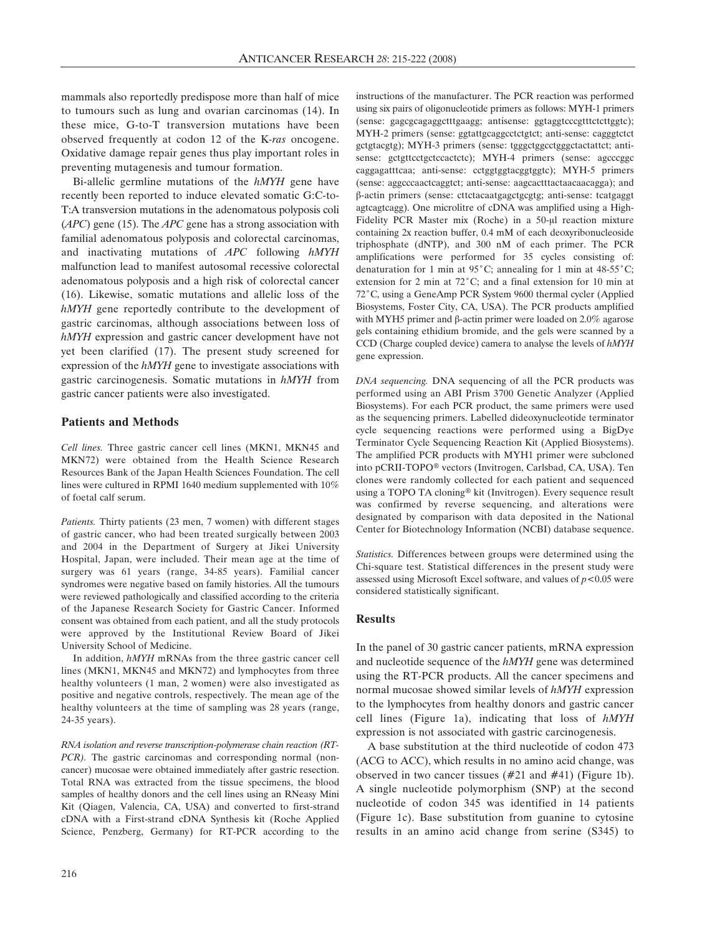mammals also reportedly predispose more than half of mice to tumours such as lung and ovarian carcinomas (14). In these mice, G-to-T transversion mutations have been observed frequently at codon 12 of the K*-ras* oncogene. Oxidative damage repair genes thus play important roles in preventing mutagenesis and tumour formation.

Bi-allelic germline mutations of the *hMYH* gene have recently been reported to induce elevated somatic G:C-to-T:A transversion mutations in the adenomatous polyposis coli (*APC*) gene (15). The *APC* gene has a strong association with familial adenomatous polyposis and colorectal carcinomas, and inactivating mutations of *APC* following *hMYH* malfunction lead to manifest autosomal recessive colorectal adenomatous polyposis and a high risk of colorectal cancer (16). Likewise, somatic mutations and allelic loss of the *hMYH* gene reportedly contribute to the development of gastric carcinomas, although associations between loss of *hMYH* expression and gastric cancer development have not yet been clarified (17). The present study screened for expression of the *hMYH* gene to investigate associations with gastric carcinogenesis. Somatic mutations in *hMYH* from gastric cancer patients were also investigated.

## **Patients and Methods**

*Cell lines.* Three gastric cancer cell lines (MKN1, MKN45 and MKN72) were obtained from the Health Science Research Resources Bank of the Japan Health Sciences Foundation. The cell lines were cultured in RPMI 1640 medium supplemented with 10% of foetal calf serum.

*Patients.* Thirty patients (23 men, 7 women) with different stages of gastric cancer, who had been treated surgically between 2003 and 2004 in the Department of Surgery at Jikei University Hospital, Japan, were included. Their mean age at the time of surgery was 61 years (range, 34-85 years). Familial cancer syndromes were negative based on family histories. All the tumours were reviewed pathologically and classified according to the criteria of the Japanese Research Society for Gastric Cancer. Informed consent was obtained from each patient, and all the study protocols were approved by the Institutional Review Board of Jikei University School of Medicine.

In addition, *hMYH* mRNAs from the three gastric cancer cell lines (MKN1, MKN45 and MKN72) and lymphocytes from three healthy volunteers (1 man, 2 women) were also investigated as positive and negative controls, respectively. The mean age of the healthy volunteers at the time of sampling was 28 years (range, 24-35 years).

*RNA isolation and reverse transcription-polymerase chain reaction (RT-PCR*). The gastric carcinomas and corresponding normal (noncancer) mucosae were obtained immediately after gastric resection. Total RNA was extracted from the tissue specimens, the blood samples of healthy donors and the cell lines using an RNeasy Mini Kit (Qiagen, Valencia, CA, USA) and converted to first-strand cDNA with a First-strand cDNA Synthesis kit (Roche Applied Science, Penzberg, Germany) for RT-PCR according to the

instructions of the manufacturer. The PCR reaction was performed using six pairs of oligonucleotide primers as follows: MYH-1 primers (sense: gagcgcagaggctttgaagg; antisense: ggtaggtcccgtttctcttggtc); MYH-2 primers (sense: ggtattgcaggcctctgtct; anti-sense: cagggtctct gctgtacgtg); MYH-3 primers (sense: tgggctggcctgggctactattct; antisense: gctgttcctgctccactctc); MYH-4 primers (sense: agcccggc caggagatttcaa; anti-sense: cctggtggtacggtggtc); MYH-5 primers (sense: aggcccaactcaggtct; anti-sense: aagcactttactaacaacagga); and  $\beta$ -actin primers (sense: cttctacaatgagctgcgtg; anti-sense: tcatgaggt agtcagtcagg). One microlitre of cDNA was amplified using a High-Fidelity PCR Master mix (Roche) in a 50-µl reaction mixture containing 2x reaction buffer, 0.4 mM of each deoxyribonucleoside triphosphate (dNTP), and 300 nM of each primer. The PCR amplifications were performed for 35 cycles consisting of: denaturation for 1 min at  $95^{\circ}$ C; annealing for 1 min at  $48-55^{\circ}$ C; extension for 2 min at  $72^{\circ}$ C; and a final extension for 10 min at 72°C, using a GeneAmp PCR System 9600 thermal cycler (Applied Biosystems, Foster City, CA, USA). The PCR products amplified with MYH5 primer and  $\beta$ -actin primer were loaded on 2.0% agarose gels containing ethidium bromide, and the gels were scanned by a CCD (Charge coupled device) camera to analyse the levels of *hMYH* gene expression.

*DNA sequencing.* DNA sequencing of all the PCR products was performed using an ABI Prism 3700 Genetic Analyzer (Applied Biosystems). For each PCR product, the same primers were used as the sequencing primers. Labelled dideoxynucleotide terminator cycle sequencing reactions were performed using a BigDye Terminator Cycle Sequencing Reaction Kit (Applied Biosystems). The amplified PCR products with MYH1 primer were subcloned into pCRII-TOPO® vectors (Invitrogen, Carlsbad, CA, USA). Ten clones were randomly collected for each patient and sequenced using a TOPO TA cloning® kit (Invitrogen). Every sequence result was confirmed by reverse sequencing, and alterations were designated by comparison with data deposited in the National Center for Biotechnology Information (NCBI) database sequence.

*Statistics.* Differences between groups were determined using the Chi-square test. Statistical differences in the present study were assessed using Microsoft Excel software, and values of *p<*0.05 were considered statistically significant.

#### **Results**

In the panel of 30 gastric cancer patients, mRNA expression and nucleotide sequence of the *hMYH* gene was determined using the RT-PCR products. All the cancer specimens and normal mucosae showed similar levels of *hMYH* expression to the lymphocytes from healthy donors and gastric cancer cell lines (Figure 1a), indicating that loss of *hMYH* expression is not associated with gastric carcinogenesis.

A base substitution at the third nucleotide of codon 473 (ACG to ACC), which results in no amino acid change, was observed in two cancer tissues (#21 and #41) (Figure 1b). A single nucleotide polymorphism (SNP) at the second nucleotide of codon 345 was identified in 14 patients (Figure 1c). Base substitution from guanine to cytosine results in an amino acid change from serine (S345) to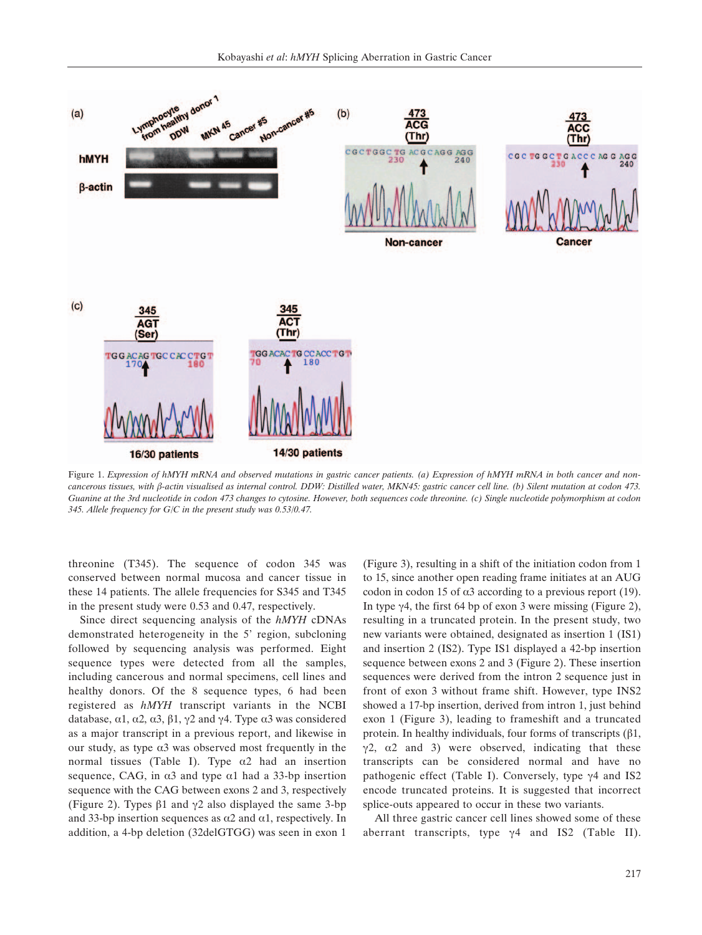

Figure 1. *Expression of hMYH mRNA and observed mutations in gastric cancer patients. (a) Expression of hMYH mRNA in both cancer and noncancerous tissues, with '-actin visualised as internal control. DDW: Distilled water, MKN45: gastric cancer cell line. (b) Silent mutation at codon 473. Guanine at the 3rd nucleotide in codon 473 changes to cytosine. However, both sequences code threonine. (c) Single nucleotide polymorphism at codon 345. Allele frequency for G/C in the present study was 0.53/0.47.*

threonine (T345). The sequence of codon 345 was conserved between normal mucosa and cancer tissue in these 14 patients. The allele frequencies for S345 and T345 in the present study were 0.53 and 0.47, respectively.

Since direct sequencing analysis of the *hMYH* cDNAs demonstrated heterogeneity in the 5' region, subcloning followed by sequencing analysis was performed. Eight sequence types were detected from all the samples, including cancerous and normal specimens, cell lines and healthy donors. Of the 8 sequence types, 6 had been registered as *hMYH* transcript variants in the NCBI database,  $\alpha$ 1,  $\alpha$ 2,  $\alpha$ 3,  $\beta$ 1,  $\gamma$ 2 and  $\gamma$ 4. Type  $\alpha$ 3 was considered as a major transcript in a previous report, and likewise in our study, as type  $\alpha$ 3 was observed most frequently in the normal tissues (Table I). Type  $\alpha$ 2 had an insertion sequence, CAG, in  $\alpha$ 3 and type  $\alpha$ 1 had a 33-bp insertion sequence with the CAG between exons 2 and 3, respectively (Figure 2). Types  $\beta$ 1 and  $\gamma$ 2 also displayed the same 3-bp and 33-bp insertion sequences as  $\alpha$ 2 and  $\alpha$ 1, respectively. In addition, a 4-bp deletion (32delGTGG) was seen in exon 1 (Figure 3), resulting in a shift of the initiation codon from 1 to 15, since another open reading frame initiates at an AUG codon in codon 15 of  $\alpha$ 3 according to a previous report (19). In type  $\gamma$ 4, the first 64 bp of exon 3 were missing (Figure 2), resulting in a truncated protein. In the present study, two new variants were obtained, designated as insertion 1 (IS1) and insertion 2 (IS2). Type IS1 displayed a 42-bp insertion sequence between exons 2 and 3 (Figure 2). These insertion sequences were derived from the intron 2 sequence just in front of exon 3 without frame shift. However, type INS2 showed a 17-bp insertion, derived from intron 1, just behind exon 1 (Figure 3), leading to frameshift and a truncated protein. In healthy individuals, four forms of transcripts  $(\beta1, \beta)$  $\gamma$ 2,  $\alpha$ 2 and 3) were observed, indicating that these transcripts can be considered normal and have no pathogenic effect (Table I). Conversely, type  $\gamma$ 4 and IS2 encode truncated proteins. It is suggested that incorrect splice-outs appeared to occur in these two variants.

All three gastric cancer cell lines showed some of these aberrant transcripts, type  $\gamma$ 4 and IS2 (Table II).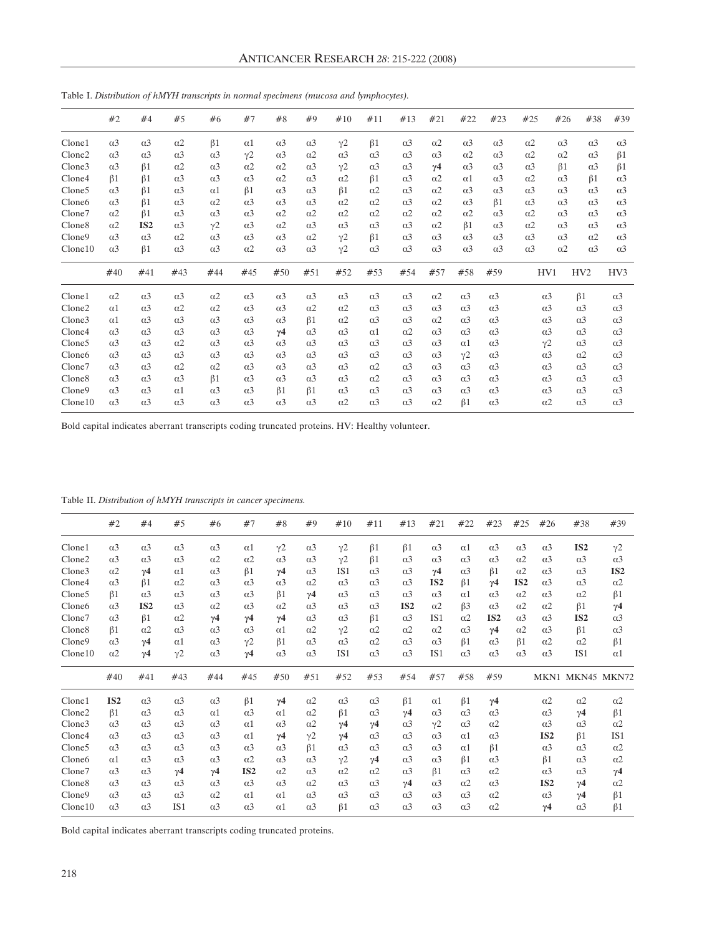|                    | #2                    | #4                    | #5                    | #6                    | #7                    | #8                    | #9                    | #10                   | #11                   | #13                   | #21                   | #22                   | #23                   | #25                   | #26                   | #38                   | #39                   |
|--------------------|-----------------------|-----------------------|-----------------------|-----------------------|-----------------------|-----------------------|-----------------------|-----------------------|-----------------------|-----------------------|-----------------------|-----------------------|-----------------------|-----------------------|-----------------------|-----------------------|-----------------------|
| Clone1             | $\alpha$ <sup>3</sup> | $\alpha$ <sup>3</sup> | $\alpha$ 2            | $\beta$ 1             | $\alpha$ 1            | $\alpha$ <sup>3</sup> | $\alpha$ <sup>3</sup> | $v^2$                 | $\beta$ 1             | $\alpha$ <sup>3</sup> | $\alpha$ <sup>2</sup> | $\alpha$ <sup>3</sup> | $\alpha$ <sup>3</sup> | $\alpha$ 2            | $\alpha$ <sup>3</sup> | $\alpha$ <sup>3</sup> | $\alpha$ <sup>3</sup> |
| Clone2             | $\alpha$ <sup>3</sup> | $\alpha$ <sup>3</sup> | $\alpha$ <sup>3</sup> | $\alpha$ <sup>3</sup> | $v^2$                 | $\alpha$ <sup>3</sup> | $\alpha$ 2            | $\alpha$ <sup>3</sup> | $\alpha$ <sup>3</sup> | $\alpha$ <sup>3</sup> | $\alpha$ <sup>3</sup> | $\alpha$ <sup>2</sup> | $\alpha$ <sup>3</sup> | $\alpha$ <sup>2</sup> | $\alpha$ 2            | $\alpha$ <sup>3</sup> | $\beta$ 1             |
| Clone3             | $\alpha$ <sup>3</sup> | $\beta$ 1             | $\alpha$ <sup>2</sup> | $\alpha$ 3            | $\alpha$ 2            | $\alpha$ 2            | $\alpha$ <sup>3</sup> | $v^2$                 | $\alpha$ <sup>3</sup> | $\alpha$ <sup>3</sup> | $\gamma$ 4            | $\alpha$ <sup>3</sup> | $\alpha$ <sup>3</sup> | $\alpha$ <sup>3</sup> | $\beta$ 1             | $\alpha$ <sup>3</sup> | $\beta$ 1             |
| Clone4             | $\beta$ 1             | $\beta$ 1             | $\alpha$ <sup>3</sup> | $\alpha$ <sup>3</sup> | $\alpha$ <sup>3</sup> | $\alpha$ 2            | $\alpha$ <sup>3</sup> | $\alpha$ 2            | $\beta$ 1             | $\alpha$ <sup>3</sup> | $\alpha$ <sup>2</sup> | $\alpha$ 1            | $\alpha$ <sup>3</sup> | $\alpha$ <sup>2</sup> | $\alpha$ <sup>3</sup> | $\beta$ 1             | $\alpha$ <sup>3</sup> |
| Clone5             | $\alpha$ <sup>3</sup> | $\beta$ 1             | $\alpha$ <sup>3</sup> | $\alpha$ 1            | $\beta$ 1             | $\alpha$ <sup>3</sup> | $\alpha$ <sup>3</sup> | $\beta$ 1             | $\alpha$ <sup>2</sup> | $\alpha$ <sup>3</sup> | $\alpha$ <sup>2</sup> | $\alpha$ <sup>3</sup> | $\alpha$ <sup>3</sup> | $\alpha$ <sup>3</sup> | $\alpha$ <sup>3</sup> | $\alpha$ <sup>3</sup> | $\alpha$ <sup>3</sup> |
| Clone <sub>6</sub> | $\alpha$ <sup>3</sup> | $\beta$ 1             | $\alpha$ 3            | $\alpha$ 2            | $\alpha$ <sup>3</sup> | $\alpha$ <sup>3</sup> | $\alpha$ <sup>3</sup> | $\alpha$ 2            | $\alpha$ 2            | $\alpha$ <sup>3</sup> | $\alpha$ <sup>2</sup> | $\alpha$ <sup>3</sup> | $\beta$ 1             | $\alpha$ <sup>3</sup> | $\alpha$ <sup>3</sup> | $\alpha$ <sup>3</sup> | $\alpha$ <sup>3</sup> |
| Clone7             | $\alpha$ 2            | $\beta$ 1             | $\alpha$ <sup>3</sup> | $\alpha$ <sup>3</sup> | $\alpha$ <sup>3</sup> | $\alpha$ 2            | $\alpha$ 2            | $\alpha$ 2            | $\alpha$ <sup>2</sup> | $\alpha$ 2            | $\alpha$ 2            | $\alpha$ <sup>2</sup> | $\alpha$ <sup>3</sup> | $\alpha$ <sup>2</sup> | $\alpha$ <sup>3</sup> | $\alpha$ <sup>3</sup> | $\alpha$ <sup>3</sup> |
| Clone <sub>8</sub> | $\alpha$ <sup>2</sup> | IS <sub>2</sub>       | $\alpha$ 3            | $v^2$                 | $\alpha$ <sup>3</sup> | $\alpha$ 2            | $\alpha$ <sup>3</sup> | $\alpha$ <sup>3</sup> | $\alpha$ <sup>3</sup> | $\alpha$ <sup>3</sup> | $\alpha$ <sup>2</sup> | $\beta$ 1             | $\alpha$ <sup>3</sup> | $\alpha$ <sup>2</sup> | $\alpha$ <sup>3</sup> | $\alpha$ <sup>3</sup> | $\alpha$ <sup>3</sup> |
| Clone9             | $\alpha$ <sup>3</sup> | $\alpha$ <sup>3</sup> | $\alpha$ <sup>2</sup> | $\alpha$ <sup>3</sup> | $\alpha$ <sup>3</sup> | $\alpha$ <sup>3</sup> | $\alpha$ <sup>2</sup> | y2                    | $\beta$ 1             | $\alpha$ <sup>3</sup> | $\alpha$ <sup>3</sup> | $\alpha$ <sup>3</sup> | $\alpha$ <sup>3</sup> | $\alpha$ <sup>3</sup> | $\alpha$ <sup>3</sup> | $\alpha$ 2            | $\alpha$ <sup>3</sup> |
| Clone10            | $\alpha$ <sup>3</sup> | $\beta$ 1             | $\alpha$ 3            | $\alpha$ <sup>3</sup> | $\alpha$ 2            | $\alpha$ <sup>3</sup> | $\alpha$ <sup>3</sup> | $\gamma$ <sup>2</sup> | $\alpha$ <sup>3</sup> | $\alpha$ <sup>3</sup> | $\alpha$ <sup>3</sup> | $\alpha$ <sup>3</sup> | $\alpha$ <sup>3</sup> | $\alpha$ <sup>3</sup> | $\alpha$ 2            | $\alpha$ <sup>3</sup> | $\alpha$ <sup>3</sup> |
|                    | #40                   | #41                   | #43                   | #44                   | #45                   | #50                   | #51                   | #52                   | #53                   | #54                   | #57                   | #58                   | #59                   |                       | HV1                   | HV <sub>2</sub>       | HV3                   |
| Clone1             | $\alpha$ 2            | $\alpha$ <sup>3</sup> | $\alpha$ 3            | $\alpha$ 2            | $\alpha$ 3            | $\alpha$ <sup>3</sup> | $\alpha$ <sup>3</sup> | $\alpha$ 3            | $\alpha$ <sup>3</sup> | $\alpha$ <sup>3</sup> | $\alpha$ 2            | $\alpha$ <sup>3</sup> | $\alpha$ 3            |                       | $\alpha$ <sup>3</sup> | $\beta$ 1             | $\alpha$ <sup>3</sup> |
| Clone2             | $\alpha$ 1            | $\alpha$ <sup>3</sup> | $\alpha$ <sup>2</sup> | $\alpha$ 2            | $\alpha$ <sup>3</sup> | $\alpha$ 3            | $\alpha$ <sup>2</sup> | $\alpha$ 2            | $\alpha$ <sup>3</sup> | $\alpha$ <sup>3</sup> | $\alpha$ <sup>3</sup> | $\alpha$ <sup>3</sup> | $\alpha$ <sup>3</sup> |                       | $\alpha$ <sup>3</sup> | $\alpha$ <sup>3</sup> | $\alpha$ <sup>3</sup> |
| Clone3             | $\alpha$ 1            | $\alpha$ <sup>3</sup> | $\alpha$ <sup>3</sup> | $\alpha$ <sup>3</sup> | $\alpha$ <sup>3</sup> | $\alpha$ <sup>3</sup> | $\beta$ 1             | $\alpha$ 2            | $\alpha$ <sup>3</sup> | $\alpha$ <sup>3</sup> | $\alpha$ <sup>2</sup> | $\alpha$ <sup>3</sup> | $\alpha$ <sup>3</sup> |                       | $\alpha$ <sup>3</sup> | $\alpha$ <sup>3</sup> | $\alpha$ <sup>3</sup> |
| Clone4             | $\alpha$ <sup>3</sup> | $\alpha$ <sup>3</sup> | $\alpha$ <sup>3</sup> | $\alpha$ <sup>3</sup> | $\alpha$ <sup>3</sup> | $\gamma$ 4            | $\alpha$ <sup>3</sup> | $\alpha$ <sup>3</sup> | $\alpha$ 1            | $\alpha$ 2            | $\alpha$ <sup>3</sup> | $\alpha$ <sup>3</sup> | $\alpha$ <sup>3</sup> |                       | $\alpha$ <sup>3</sup> | $\alpha$ <sup>3</sup> | $\alpha$ <sup>3</sup> |
| Clone5             | $\alpha$ <sup>3</sup> | $\alpha$ <sup>3</sup> | $\alpha$ 2            | $\alpha$ <sup>3</sup> | $\alpha$ <sup>3</sup> | $\alpha$ <sup>3</sup> | $\alpha$ <sup>3</sup> | $\alpha$ <sup>3</sup> | $\alpha$ <sup>3</sup> | $\alpha$ <sup>3</sup> | $\alpha$ <sup>3</sup> | $\alpha$ 1            | $\alpha$ <sup>3</sup> |                       | y2                    | $\alpha$ <sup>3</sup> | $\alpha$ <sup>3</sup> |
| Clone <sub>6</sub> | $\alpha$ <sup>3</sup> | $\alpha$ <sup>3</sup> | $\alpha$ <sup>3</sup> | $\alpha$ <sup>3</sup> | $\alpha$ 3            | $\alpha$ <sup>3</sup> | $\alpha$ <sup>3</sup> | $\alpha$ <sup>3</sup> | $\alpha$ <sup>3</sup> | $\alpha$ <sup>3</sup> | $\alpha$ <sup>3</sup> | $\gamma$ 2            | $\alpha$ <sup>3</sup> |                       | $\alpha$ <sup>3</sup> | $\alpha$ 2            | $\alpha$ <sup>3</sup> |
| Clone7             | $\alpha$ <sup>3</sup> | $\alpha$ <sup>3</sup> | $\alpha$ 2            | $\alpha$ 2            | $\alpha$ <sup>3</sup> | $\alpha$ <sup>3</sup> | $\alpha$ <sup>3</sup> | $\alpha$ <sup>3</sup> | $\alpha$ <sup>2</sup> | $\alpha$ <sup>3</sup> | $\alpha$ <sup>3</sup> | $\alpha$ <sup>3</sup> | $\alpha$ <sup>3</sup> |                       | $\alpha$ <sup>3</sup> | $\alpha$ <sup>3</sup> | $\alpha$ <sup>3</sup> |
| Clone <sub>8</sub> | $\alpha$ <sup>3</sup> | $\alpha$ <sup>3</sup> | $\alpha$ 3            | $\beta$ 1             | $\alpha$ <sup>3</sup> | $\alpha$ <sup>3</sup> | $\alpha$ <sup>3</sup> | $\alpha$ <sup>3</sup> | $\alpha$ <sup>2</sup> | $\alpha$ <sup>3</sup> | $\alpha$ <sup>3</sup> | $\alpha$ <sup>3</sup> | $\alpha$ <sup>3</sup> |                       | $\alpha$ <sup>3</sup> | $\alpha$ <sup>3</sup> | $\alpha$ <sup>3</sup> |
| Clone9             | $\alpha$ <sup>3</sup> | $\alpha$ <sup>3</sup> | $\alpha$ 1            | $\alpha$ <sup>3</sup> | $\alpha$ <sup>3</sup> | $\beta$ 1             | $\beta$ 1             | $\alpha$ <sup>3</sup> | $\alpha$ <sup>3</sup> | $\alpha$ <sup>3</sup> | $\alpha$ <sup>3</sup> | $\alpha$ <sup>3</sup> | $\alpha$ <sup>3</sup> |                       | $\alpha$ <sup>3</sup> | $\alpha$ <sup>3</sup> | $\alpha$ <sup>3</sup> |
| Clone10            | $\alpha$ <sup>3</sup> | $\alpha$ <sup>3</sup> | $\alpha$ <sup>3</sup> | $\alpha$ <sup>3</sup> | $\alpha$ <sup>3</sup> | $\alpha$ <sup>3</sup> | $\alpha$ <sup>3</sup> | $\alpha$ 2            | $\alpha$ <sup>3</sup> | $\alpha$ <sup>3</sup> | $\alpha$ <sup>2</sup> | $\beta$ 1             | $\alpha$ 3            |                       | $\alpha$ 2            | $\alpha$ <sup>3</sup> | $\alpha$ <sup>3</sup> |

Table I. *Distribution of hMYH transcripts in normal specimens (mucosa and lymphocytes).*

Bold capital indicates aberrant transcripts coding truncated proteins. HV: Healthy volunteer.

| Table II. Distribution of hMYH transcripts in cancer specimens |  |  |  |
|----------------------------------------------------------------|--|--|--|
|                                                                |  |  |  |
|                                                                |  |  |  |

|                    | #2                    | #4                    | #5                    | #6                    | #7                    | #8                    | #9                    | #10                   | #11                   | #13                   | #21                   | #22                   | #23                   | #25                   | #26                   | #38                   | #39                   |
|--------------------|-----------------------|-----------------------|-----------------------|-----------------------|-----------------------|-----------------------|-----------------------|-----------------------|-----------------------|-----------------------|-----------------------|-----------------------|-----------------------|-----------------------|-----------------------|-----------------------|-----------------------|
| Clone1             | $\alpha$ <sup>3</sup> | $\alpha$ <sup>3</sup> | $\alpha$ <sup>3</sup> | $\alpha$ <sup>3</sup> | $\alpha$ 1            | $\gamma$ <sup>2</sup> | $\alpha$ <sup>3</sup> | y2                    | $\beta$ 1             | $\beta$ 1             | $\alpha$ <sup>3</sup> | $\alpha$ 1            | $\alpha$ <sup>3</sup> | $\alpha$ <sup>3</sup> | $\alpha$ <sup>3</sup> | IS <sub>2</sub>       | y2                    |
| Clone <sub>2</sub> | $\alpha$ <sup>3</sup> | $\alpha$ <sup>3</sup> | $\alpha$ 3            | $\alpha$ 2            | $\alpha$ 2            | $\alpha$ <sup>3</sup> | $\alpha$ <sup>3</sup> | $\gamma$ 2            | $\beta$ 1             | $\alpha$ <sup>3</sup> | $\alpha$ <sup>3</sup> | $\alpha$ 3            | $\alpha$ <sup>3</sup> | $\alpha$ 2            | $\alpha$ <sup>3</sup> | $\alpha$ <sup>3</sup> | $\alpha$ <sup>3</sup> |
| Clone3             | $\alpha$ 2            | $\gamma$ 4            | $\alpha$ 1            | $\alpha$ <sup>3</sup> | $\beta$ 1             | $\gamma$ 4            | $\alpha$ <sup>3</sup> | IS <sub>1</sub>       | $\alpha$ <sup>3</sup> | $\alpha$ <sup>3</sup> | $\gamma$ 4            | $\alpha$ <sup>3</sup> | $\beta$ 1             | $\alpha$ 2            | $\alpha$ <sup>3</sup> | $\alpha$ <sup>3</sup> | IS <sub>2</sub>       |
| Clone4             | $\alpha$ <sup>3</sup> | $\beta$ 1             | $\alpha$ 2            | $\alpha$ <sup>3</sup> | $\alpha$ <sup>3</sup> | $\alpha$ <sup>3</sup> | $\alpha$ 2            | $\alpha$ <sup>3</sup> | $\alpha$ <sup>3</sup> | $\alpha$ <sup>3</sup> | IS <sub>2</sub>       | $\beta$ 1             | $\gamma$ 4            | IS <sub>2</sub>       | $\alpha$ <sup>3</sup> | $\alpha$ <sup>3</sup> | $\alpha$ 2            |
| Clone5             | $\beta$ 1             | $\alpha$ <sup>3</sup> | $\alpha$ 3            | $\alpha$ <sup>3</sup> | $\alpha$ <sup>3</sup> | $\beta$ 1             | $\gamma$ 4            | $\alpha$ <sup>3</sup> | $\alpha$ <sup>3</sup> | $\alpha$ <sup>3</sup> | $\alpha$ <sup>3</sup> | $\alpha$ 1            | $\alpha$ <sup>3</sup> | $\alpha$ 2            | $\alpha$ <sup>3</sup> | $\alpha$ 2            | $\beta$ 1             |
| Clone <sub>6</sub> | $\alpha$ <sup>3</sup> | IS <sub>2</sub>       | $\alpha$ <sup>3</sup> | $\alpha$ 2            | $\alpha$ <sup>3</sup> | $\alpha$ 2            | $\alpha$ <sup>3</sup> | $\alpha$ <sup>3</sup> | $\alpha$ <sup>3</sup> | IS <sub>2</sub>       | $\alpha$ <sup>2</sup> | $\beta$ 3             | $\alpha$ <sup>3</sup> | $\alpha$ 2            | $\alpha$ 2            | $\beta$ 1             | $\gamma$ 4            |
| Clone7             | $\alpha$ <sup>3</sup> | $\beta$ 1             | $\alpha$ 2            | $\gamma$ 4            | $\gamma$ 4            | $\gamma$ 4            | $\alpha$ <sup>3</sup> | $\alpha$ <sup>3</sup> | $\beta$ 1             | $\alpha$ <sup>3</sup> | IS <sub>1</sub>       | $\alpha$ 2            | IS <sub>2</sub>       | $\alpha$ <sup>3</sup> | $\alpha$ <sup>3</sup> | IS <sub>2</sub>       | $\alpha$ 3            |
| Clone <sub>8</sub> | $\beta$ 1             | $\alpha$ 2            | $\alpha$ <sup>3</sup> | $\alpha$ <sup>3</sup> | $\alpha$ <sup>3</sup> | $\alpha$ 1            | $\alpha$ 2            | $\gamma$ <sup>2</sup> | $\alpha$ 2            | $\alpha$ 2            | $\alpha$ <sup>2</sup> | $\alpha$ <sup>3</sup> | $\gamma$ 4            | $\alpha$ 2            | $\alpha$ <sup>3</sup> | $\beta$ 1             | $\alpha$ <sup>3</sup> |
| Clone9             | $\alpha$ <sup>3</sup> | $\gamma$ 4            | $\alpha$ 1            | $\alpha$ <sup>3</sup> | $Y^2$                 | $\beta$ 1             | $\alpha$ <sup>3</sup> | $\alpha$ <sup>3</sup> | $\alpha$ 2            | $\alpha$ <sup>3</sup> | $\alpha$ <sup>3</sup> | $\beta$ 1             | $\alpha$ <sup>3</sup> | $\beta$ 1             | $\alpha$ 2            | $\alpha$ 2            | $\beta$ 1             |
| Clone10            | $\alpha$ 2            | $\gamma$ 4            | y2                    | $\alpha$ 3            | $\gamma$ 4            | $\alpha$ <sup>3</sup> | $\alpha$ <sup>3</sup> | IS <sub>1</sub>       | $\alpha$ <sup>3</sup> | $\alpha$ <sup>3</sup> | IS <sub>1</sub>       | $\alpha$ <sup>3</sup> | $\alpha$ <sup>3</sup> | $\alpha$ <sup>3</sup> | $\alpha$ <sup>3</sup> | IS1                   | $\alpha$ 1            |
|                    | #40                   | #41                   | #43                   | #44                   | #45                   | #50                   | #51                   | #52                   | #53                   | #54                   | #57                   | #58                   | #59                   |                       |                       | MKN1 MKN45 MKN72      |                       |
| Clone1             | IS <sub>2</sub>       | $\alpha$ <sup>3</sup> | $\alpha$ 3            | $\alpha$ <sup>3</sup> | $\beta$ 1             | $\gamma$ 4            | $\alpha$ 2            | $\alpha$ <sup>3</sup> | $\alpha$ <sup>3</sup> | $\beta$ 1             | $\alpha$ 1            | $\beta$ 1             | $\gamma$ 4            |                       | $\alpha$ 2            | $\alpha$ 2            | $\alpha$ 2            |
| Clone <sub>2</sub> | $\beta$ 1             | $\alpha$ <sup>3</sup> | $\alpha$ <sup>3</sup> | $\alpha$ 1            | $\alpha$ <sup>3</sup> | $\alpha$ 1            | $\alpha$ 2            | $\beta$ 1             | $\alpha$ <sup>3</sup> | $\gamma$ 4            | $\alpha$ <sup>3</sup> | $\alpha$ <sup>3</sup> | $\alpha$ <sup>3</sup> |                       | $\alpha$ <sup>3</sup> | $\gamma$ 4            | $\beta$ 1             |
| Clone3             | $\alpha$ <sup>3</sup> | $\alpha$ <sup>3</sup> | $\alpha$ 3            | $\alpha$ <sup>3</sup> | $\alpha$ 1            | $\alpha$ <sup>3</sup> | $\alpha$ 2            | $\gamma$ 4            | $\gamma$ 4            | $\alpha$ <sup>3</sup> | $\gamma$ 2            | $\alpha$ <sup>3</sup> | $\alpha$ 2            |                       | $\alpha$ <sup>3</sup> | $\alpha$ <sup>3</sup> | $\alpha$ 2            |
| Clone4             | $\alpha$ <sup>3</sup> | $\alpha$ <sup>3</sup> | $\alpha$ <sup>3</sup> | $\alpha$ <sup>3</sup> | $\alpha$ 1            | $\gamma$ 4            | $\gamma$ 2            | $\gamma$ 4            | $\alpha$ <sup>3</sup> | $\alpha$ <sup>3</sup> | $\alpha$ <sup>3</sup> | $\alpha$ 1            | $\alpha$ <sup>3</sup> |                       | IS <sub>2</sub>       | $\beta$ 1             | IS1                   |
| Clone5             | $\alpha$ <sup>3</sup> | $\alpha$ <sup>3</sup> | $\alpha$ <sup>3</sup> | $\alpha$ <sup>3</sup> | $\alpha$ <sup>3</sup> | $\alpha$ <sup>3</sup> | $\beta$ 1             | $\alpha$ <sup>3</sup> | $\alpha$ <sup>3</sup> | $\alpha$ <sup>3</sup> | $\alpha$ <sup>3</sup> | $\alpha$ 1            | $\beta$ 1             |                       | $\alpha$ <sup>3</sup> | $\alpha$ <sup>3</sup> | $\alpha$ 2            |
| Clone <sub>6</sub> | $\alpha$ 1            | $\alpha$ <sup>3</sup> | $\alpha$ <sup>3</sup> | $\alpha$ <sup>3</sup> | $\alpha$ 2            | $\alpha$ <sup>3</sup> | $\alpha$ <sup>3</sup> | $\gamma$ 2            | $\gamma$ 4            | $\alpha$ <sup>3</sup> | $\alpha$ <sup>3</sup> | $\beta$ 1             | $\alpha$ <sup>3</sup> |                       | $\beta$ 1             | $\alpha$ <sup>3</sup> | $\alpha$ 2            |
| Clone7             | $\alpha$ <sup>3</sup> | $\alpha$ <sup>3</sup> | $\gamma$ 4            | $\gamma$ 4            | IS <sub>2</sub>       | $\alpha$ 2            | $\alpha$ <sup>3</sup> | $\alpha$ 2            | $\alpha$ <sup>2</sup> | $\alpha$ <sup>3</sup> | $\beta$ 1             | $\alpha$ <sup>3</sup> | $\alpha$ 2            |                       | $\alpha$ <sup>3</sup> | $\alpha$ <sup>3</sup> | $\gamma$ 4            |
| Clone <sub>8</sub> | $\alpha$ <sup>3</sup> | $\alpha$ <sup>3</sup> | $\alpha$ <sup>3</sup> | $\alpha$ <sup>3</sup> | $\alpha$ <sup>3</sup> | $\alpha$ <sup>3</sup> | $\alpha$ 2            | $\alpha$ <sup>3</sup> | $\alpha$ <sup>3</sup> | $\gamma$ 4            | $\alpha$ <sup>3</sup> | $\alpha$ 2            | $\alpha$ <sup>3</sup> |                       | IS <sub>2</sub>       | $\gamma$ 4            | $\alpha$ 2            |
| Clone9             | $\alpha$ <sup>3</sup> | $\alpha$ <sup>3</sup> | $\alpha$ <sup>3</sup> | $\alpha$ 2            | $\alpha$ 1            | $\alpha$ 1            | $\alpha$ <sup>3</sup> | $\alpha$ <sup>3</sup> | $\alpha$ <sup>3</sup> | $\alpha$ <sup>3</sup> | $\alpha$ <sup>3</sup> | $\alpha$ <sup>3</sup> | $\alpha$ 2            |                       | $\alpha$ <sup>3</sup> | $\gamma$ 4            | $\beta$ 1             |
| Clone10            | $\alpha$ <sup>3</sup> | $\alpha$ <sup>3</sup> | IS1                   | $\alpha$ <sup>3</sup> | $\alpha$ <sup>3</sup> | $\alpha$ 1            | $\alpha$ <sup>3</sup> | $\beta$ 1             | $\alpha$ <sup>3</sup> | $\alpha$ <sup>3</sup> | $\alpha$ <sup>3</sup> | $\alpha$ <sup>3</sup> | $\alpha$ <sup>2</sup> |                       | $\gamma$ 4            | $\alpha$ <sup>3</sup> | $\beta$ 1             |

Bold capital indicates aberrant transcripts coding truncated proteins.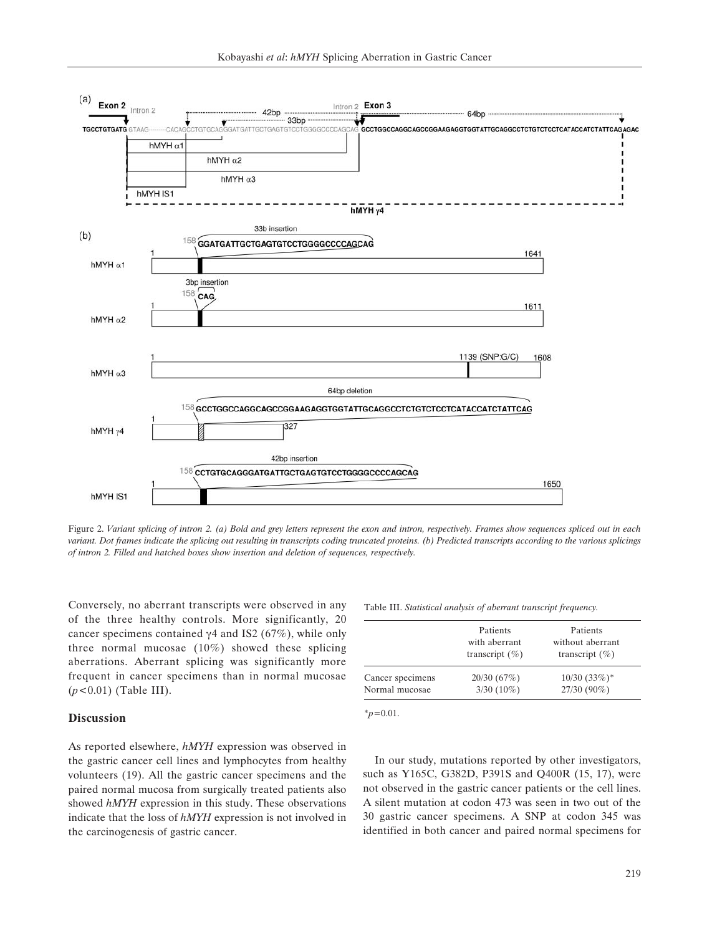

Figure 2. *Variant splicing of intron 2. (a) Bold and grey letters represent the exon and intron, respectively. Frames show sequences spliced out in each variant. Dot frames indicate the splicing out resulting in transcripts coding truncated proteins. (b) Predicted transcripts according to the various splicings of intron 2. Filled and hatched boxes show insertion and deletion of sequences, respectively.*

Conversely, no aberrant transcripts were observed in any of the three healthy controls. More significantly, 20 cancer specimens contained  $\gamma$ 4 and IS2 (67%), while only three normal mucosae (10%) showed these splicing aberrations. Aberrant splicing was significantly more frequent in cancer specimens than in normal mucosae (*p<*0.01) (Table III).

## **Discussion**

As reported elsewhere, *hMYH* expression was observed in the gastric cancer cell lines and lymphocytes from healthy volunteers (19). All the gastric cancer specimens and the paired normal mucosa from surgically treated patients also showed *hMYH* expression in this study. These observations indicate that the loss of *hMYH* expression is not involved in the carcinogenesis of gastric cancer.

Table III. *Statistical analysis of aberrant transcript frequency.*

|                  | Patients<br>with aberrant<br>transcript $(\% )$ | Patients<br>without aberrant<br>transcript $(\% )$ |  |  |  |  |
|------------------|-------------------------------------------------|----------------------------------------------------|--|--|--|--|
| Cancer specimens | 20/30(67%)                                      | $10/30$ $(33%)$ <sup>*</sup>                       |  |  |  |  |
| Normal mucosae   | $3/30(10\%)$                                    | 27/30 (90%)                                        |  |  |  |  |

\**p*=0.01.

In our study, mutations reported by other investigators, such as Y165C, G382D, P391S and Q400R (15, 17), were not observed in the gastric cancer patients or the cell lines. A silent mutation at codon 473 was seen in two out of the 30 gastric cancer specimens. A SNP at codon 345 was identified in both cancer and paired normal specimens for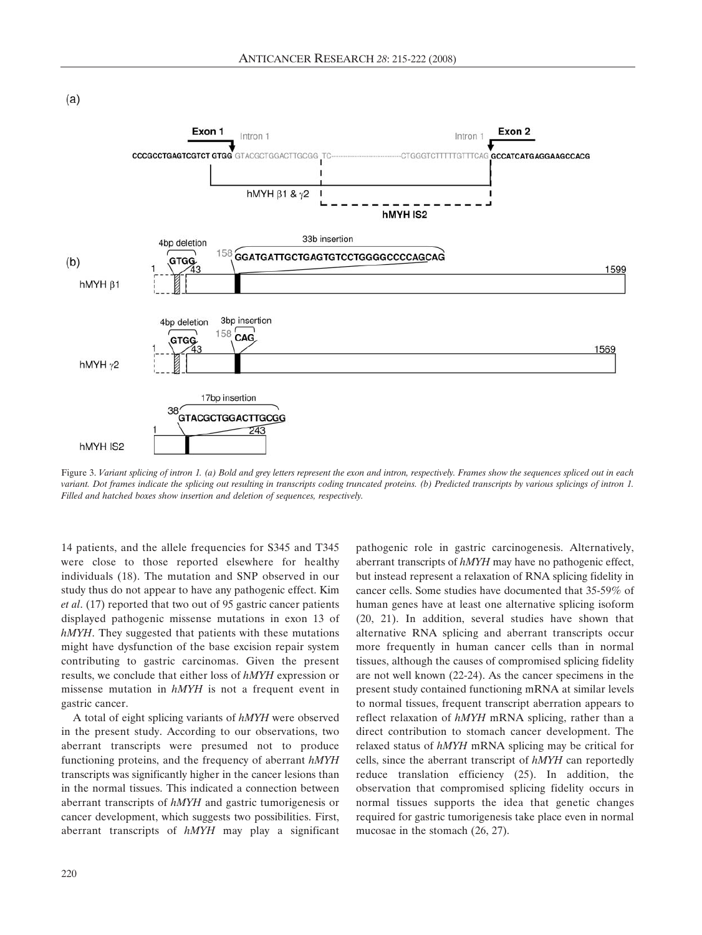



Figure 3. *Variant splicing of intron 1. (a) Bold and grey letters represent the exon and intron, respectively. Frames show the sequences spliced out in each variant. Dot frames indicate the splicing out resulting in transcripts coding truncated proteins. (b) Predicted transcripts by various splicings of intron 1. Filled and hatched boxes show insertion and deletion of sequences, respectively.*

14 patients, and the allele frequencies for S345 and T345 were close to those reported elsewhere for healthy individuals (18). The mutation and SNP observed in our study thus do not appear to have any pathogenic effect. Kim *et al*. (17) reported that two out of 95 gastric cancer patients displayed pathogenic missense mutations in exon 13 of *hMYH*. They suggested that patients with these mutations might have dysfunction of the base excision repair system contributing to gastric carcinomas. Given the present results, we conclude that either loss of *hMYH* expression or missense mutation in *hMYH* is not a frequent event in gastric cancer.

A total of eight splicing variants of *hMYH* were observed in the present study. According to our observations, two aberrant transcripts were presumed not to produce functioning proteins, and the frequency of aberrant *hMYH* transcripts was significantly higher in the cancer lesions than in the normal tissues. This indicated a connection between aberrant transcripts of *hMYH* and gastric tumorigenesis or cancer development, which suggests two possibilities. First, aberrant transcripts of *hMYH* may play a significant

pathogenic role in gastric carcinogenesis. Alternatively, aberrant transcripts of *hMYH* may have no pathogenic effect, but instead represent a relaxation of RNA splicing fidelity in cancer cells. Some studies have documented that 35-59% of human genes have at least one alternative splicing isoform (20, 21). In addition, several studies have shown that alternative RNA splicing and aberrant transcripts occur more frequently in human cancer cells than in normal tissues, although the causes of compromised splicing fidelity are not well known (22-24). As the cancer specimens in the present study contained functioning mRNA at similar levels to normal tissues, frequent transcript aberration appears to reflect relaxation of *hMYH* mRNA splicing, rather than a direct contribution to stomach cancer development. The relaxed status of *hMYH* mRNA splicing may be critical for cells, since the aberrant transcript of *hMYH* can reportedly reduce translation efficiency (25). In addition, the observation that compromised splicing fidelity occurs in normal tissues supports the idea that genetic changes required for gastric tumorigenesis take place even in normal mucosae in the stomach (26, 27).